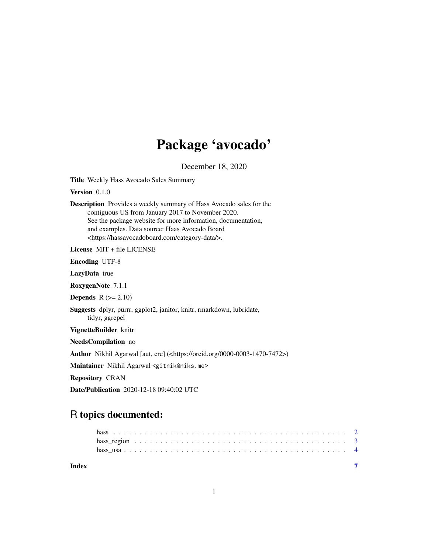## Package 'avocado'

December 18, 2020

Title Weekly Hass Avocado Sales Summary

Version 0.1.0

Description Provides a weekly summary of Hass Avocado sales for the contiguous US from January 2017 to November 2020. See the package website for more information, documentation, and examples. Data source: Haas Avocado Board <https://hassavocadoboard.com/category-data/>.

License MIT + file LICENSE

Encoding UTF-8

LazyData true

RoxygenNote 7.1.1

Depends  $R (= 2.10)$ 

Suggests dplyr, purrr, ggplot2, janitor, knitr, rmarkdown, lubridate, tidyr, ggrepel

VignetteBuilder knitr

NeedsCompilation no

Author Nikhil Agarwal [aut, cre] (<https://orcid.org/0000-0003-1470-7472>)

Maintainer Nikhil Agarwal <gitnik@niks.me>

Repository CRAN

Date/Publication 2020-12-18 09:40:02 UTC

### R topics documented:

| Index |  |  |  |  |  |  |  |  |  |  |  |  |  |  |  |  |  |  |  |  |  |
|-------|--|--|--|--|--|--|--|--|--|--|--|--|--|--|--|--|--|--|--|--|--|
|       |  |  |  |  |  |  |  |  |  |  |  |  |  |  |  |  |  |  |  |  |  |
|       |  |  |  |  |  |  |  |  |  |  |  |  |  |  |  |  |  |  |  |  |  |
|       |  |  |  |  |  |  |  |  |  |  |  |  |  |  |  |  |  |  |  |  |  |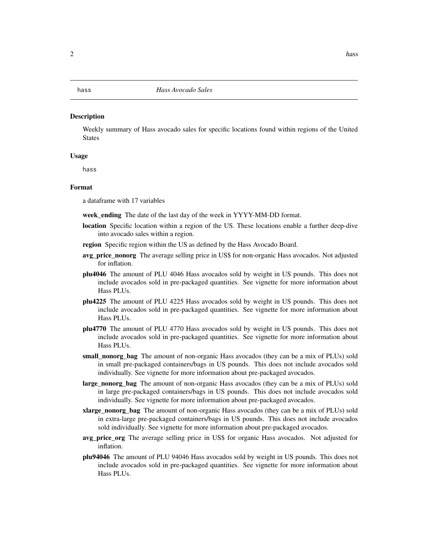#### <span id="page-1-0"></span>hass *Hass Avocado Sales*

#### **Description**

Weekly summary of Hass avocado sales for specific locations found within regions of the United States

#### Usage

hass

#### Format

a dataframe with 17 variables

week\_ending The date of the last day of the week in YYYY-MM-DD format.

- **location** Specific location within a region of the US. These locations enable a further deep-dive into avocado sales within a region.
- **region** Specific region within the US as defined by the Hass Avocado Board.
- avg\_price\_nonorg The average selling price in US\$ for non-organic Hass avocados. Not adjusted for inflation.
- plu4046 The amount of PLU 4046 Hass avocados sold by weight in US pounds. This does not include avocados sold in pre-packaged quantities. See vignette for more information about Hass PLUs.
- plu4225 The amount of PLU 4225 Hass avocados sold by weight in US pounds. This does not include avocados sold in pre-packaged quantities. See vignette for more information about Hass PLUs.
- plu4770 The amount of PLU 4770 Hass avocados sold by weight in US pounds. This does not include avocados sold in pre-packaged quantities. See vignette for more information about Hass PLUs.
- small nonorg bag The amount of non-organic Hass avocados (they can be a mix of PLUs) sold in small pre-packaged containers/bags in US pounds. This does not include avocados sold individually. See vignette for more information about pre-packaged avocados.
- large\_nonorg\_bag The amount of non-organic Hass avocados (they can be a mix of PLUs) sold in large pre-packaged containers/bags in US pounds. This does not include avocados sold individually. See vignette for more information about pre-packaged avocados.
- xlarge\_nonorg\_bag The amount of non-organic Hass avocados (they can be a mix of PLUs) sold in extra-large pre-packaged containers/bags in US pounds. This does not include avocados sold individually. See vignette for more information about pre-packaged avocados.
- avg\_price\_org The average selling price in US\$ for organic Hass avocados. Not adjusted for inflation.
- plu94046 The amount of PLU 94046 Hass avocados sold by weight in US pounds. This does not include avocados sold in pre-packaged quantities. See vignette for more information about Hass PLUs.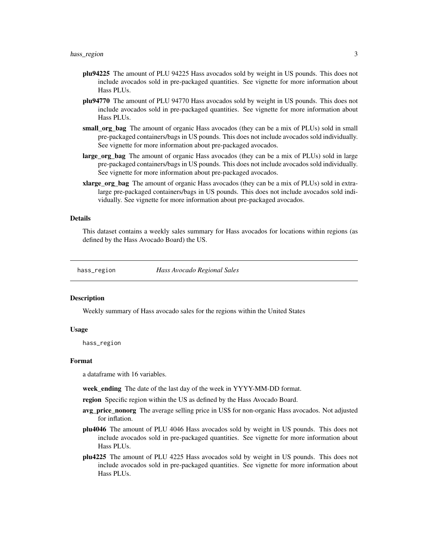- <span id="page-2-0"></span>plu94225 The amount of PLU 94225 Hass avocados sold by weight in US pounds. This does not include avocados sold in pre-packaged quantities. See vignette for more information about Hass PLUs.
- plu94770 The amount of PLU 94770 Hass avocados sold by weight in US pounds. This does not include avocados sold in pre-packaged quantities. See vignette for more information about Hass PLUs.
- small org bag The amount of organic Hass avocados (they can be a mix of PLUs) sold in small pre-packaged containers/bags in US pounds. This does not include avocados sold individually. See vignette for more information about pre-packaged avocados.
- large\_org\_bag The amount of organic Hass avocados (they can be a mix of PLUs) sold in large pre-packaged containers/bags in US pounds. This does not include avocados sold individually. See vignette for more information about pre-packaged avocados.
- xlarge\_org\_bag The amount of organic Hass avocados (they can be a mix of PLUs) sold in extralarge pre-packaged containers/bags in US pounds. This does not include avocados sold individually. See vignette for more information about pre-packaged avocados.

#### Details

This dataset contains a weekly sales summary for Hass avocados for locations within regions (as defined by the Hass Avocado Board) the US.

hass\_region *Hass Avocado Regional Sales*

#### **Description**

Weekly summary of Hass avocado sales for the regions within the United States

#### Usage

hass\_region

#### Format

a dataframe with 16 variables.

week\_ending The date of the last day of the week in YYYY-MM-DD format.

region Specific region within the US as defined by the Hass Avocado Board.

- avg\_price\_nonorg The average selling price in US\$ for non-organic Hass avocados. Not adjusted for inflation.
- plu4046 The amount of PLU 4046 Hass avocados sold by weight in US pounds. This does not include avocados sold in pre-packaged quantities. See vignette for more information about Hass PLUs.
- plu4225 The amount of PLU 4225 Hass avocados sold by weight in US pounds. This does not include avocados sold in pre-packaged quantities. See vignette for more information about Hass PLUs.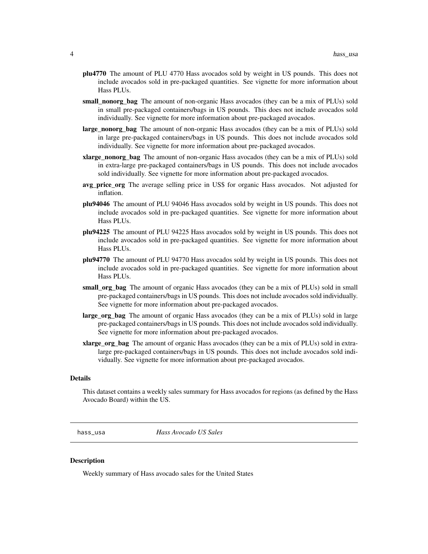- <span id="page-3-0"></span>plu4770 The amount of PLU 4770 Hass avocados sold by weight in US pounds. This does not include avocados sold in pre-packaged quantities. See vignette for more information about Hass PLUs.
- small nonorg bag The amount of non-organic Hass avocados (they can be a mix of PLUs) sold in small pre-packaged containers/bags in US pounds. This does not include avocados sold individually. See vignette for more information about pre-packaged avocados.
- **large nonorg bag** The amount of non-organic Hass avocados (they can be a mix of PLUs) sold in large pre-packaged containers/bags in US pounds. This does not include avocados sold individually. See vignette for more information about pre-packaged avocados.
- **xlarge nonorg bag** The amount of non-organic Hass avocados (they can be a mix of PLUs) sold in extra-large pre-packaged containers/bags in US pounds. This does not include avocados sold individually. See vignette for more information about pre-packaged avocados.
- avg\_price\_org The average selling price in US\$ for organic Hass avocados. Not adjusted for inflation.
- plu94046 The amount of PLU 94046 Hass avocados sold by weight in US pounds. This does not include avocados sold in pre-packaged quantities. See vignette for more information about Hass PLUs.
- plu94225 The amount of PLU 94225 Hass avocados sold by weight in US pounds. This does not include avocados sold in pre-packaged quantities. See vignette for more information about Hass PLUs.
- plu94770 The amount of PLU 94770 Hass avocados sold by weight in US pounds. This does not include avocados sold in pre-packaged quantities. See vignette for more information about Hass PLUs.
- small\_org\_bag The amount of organic Hass avocados (they can be a mix of PLUs) sold in small pre-packaged containers/bags in US pounds. This does not include avocados sold individually. See vignette for more information about pre-packaged avocados.
- large\_org\_bag The amount of organic Hass avocados (they can be a mix of PLUs) sold in large pre-packaged containers/bags in US pounds. This does not include avocados sold individually. See vignette for more information about pre-packaged avocados.
- **xlarge\_org\_bag** The amount of organic Hass avocados (they can be a mix of PLUs) sold in extralarge pre-packaged containers/bags in US pounds. This does not include avocados sold individually. See vignette for more information about pre-packaged avocados.

#### Details

This dataset contains a weekly sales summary for Hass avocados for regions (as defined by the Hass Avocado Board) within the US.

hass\_usa *Hass Avocado US Sales*

#### **Description**

Weekly summary of Hass avocado sales for the United States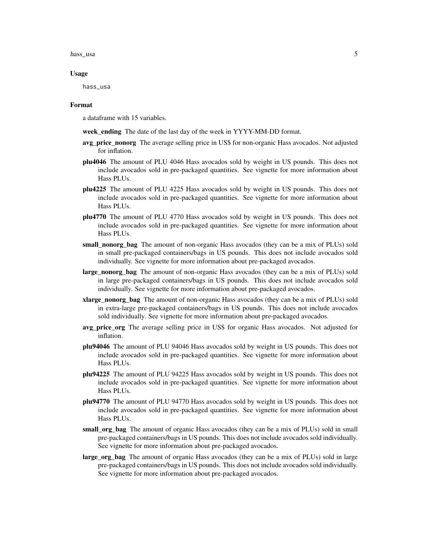#### hass\_usa 5

#### Usage

hass\_usa

#### Format

a dataframe with 15 variables.

week ending The date of the last day of the week in YYYY-MM-DD format.

- avg\_price\_nonorg The average selling price in US\$ for non-organic Hass avocados. Not adjusted for inflation.
- plu4046 The amount of PLU 4046 Hass avocados sold by weight in US pounds. This does not include avocados sold in pre-packaged quantities. See vignette for more information about Hass PLUs.
- plu4225 The amount of PLU 4225 Hass avocados sold by weight in US pounds. This does not include avocados sold in pre-packaged quantities. See vignette for more information about Hass PLUs.
- plu4770 The amount of PLU 4770 Hass avocados sold by weight in US pounds. This does not include avocados sold in pre-packaged quantities. See vignette for more information about Hass PLUs.
- small\_nonorg\_bag The amount of non-organic Hass avocados (they can be a mix of PLUs) sold in small pre-packaged containers/bags in US pounds. This does not include avocados sold individually. See vignette for more information about pre-packaged avocados.
- large\_nonorg\_bag The amount of non-organic Hass avocados (they can be a mix of PLUs) sold in large pre-packaged containers/bags in US pounds. This does not include avocados sold individually. See vignette for more information about pre-packaged avocados.
- xlarge\_nonorg\_bag The amount of non-organic Hass avocados (they can be a mix of PLUs) sold in extra-large pre-packaged containers/bags in US pounds. This does not include avocados sold individually. See vignette for more information about pre-packaged avocados.
- avg\_price\_org The average selling price in US\$ for organic Hass avocados. Not adjusted for inflation.
- plu94046 The amount of PLU 94046 Hass avocados sold by weight in US pounds. This does not include avocados sold in pre-packaged quantities. See vignette for more information about Hass PLUs.
- plu94225 The amount of PLU 94225 Hass avocados sold by weight in US pounds. This does not include avocados sold in pre-packaged quantities. See vignette for more information about Hass PLUs.
- plu94770 The amount of PLU 94770 Hass avocados sold by weight in US pounds. This does not include avocados sold in pre-packaged quantities. See vignette for more information about Hass PLUs.
- small\_org\_bag The amount of organic Hass avocados (they can be a mix of PLUs) sold in small pre-packaged containers/bags in US pounds. This does not include avocados sold individually. See vignette for more information about pre-packaged avocados.
- large\_org\_bag The amount of organic Hass avocados (they can be a mix of PLUs) sold in large pre-packaged containers/bags in US pounds. This does not include avocados sold individually. See vignette for more information about pre-packaged avocados.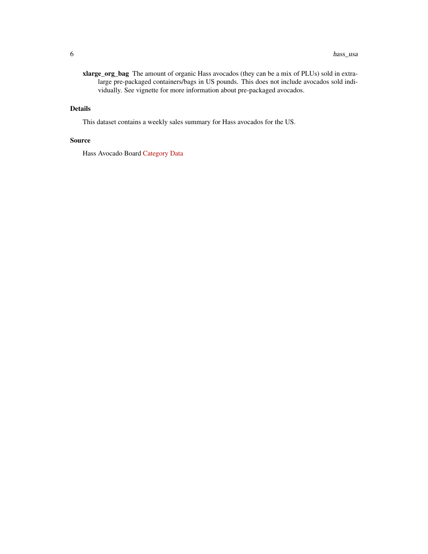xlarge\_org\_bag The amount of organic Hass avocados (they can be a mix of PLUs) sold in extralarge pre-packaged containers/bags in US pounds. This does not include avocados sold individually. See vignette for more information about pre-packaged avocados.

### Details

This dataset contains a weekly sales summary for Hass avocados for the US.

#### Source

Hass Avocado Board [Category Data](https://hassavocadoboard.com)